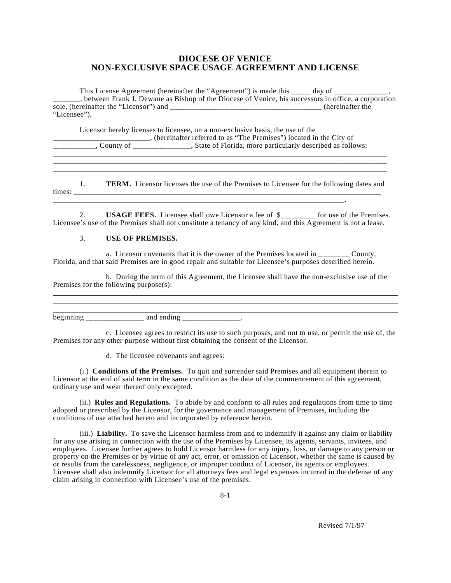## **DIOCESE OF VENICE NON-EXCLUSIVE SPACE USAGE AGREEMENT AND LICENSE**

This License Agreement (hereinafter the "Agreement") is made this \_\_\_\_\_ day of \_\_\_\_\_\_\_\_\_\_\_\_\_\_, \_\_\_\_\_\_\_, between Frank J. Dewane as Bishop of the Diocese of Venice, his successors in office, a corporation sole, (hereinafter the "Licensor") and \_\_\_\_\_\_\_\_\_\_\_\_\_\_\_\_\_\_\_\_\_\_\_\_\_\_\_\_\_\_\_\_\_\_\_\_\_\_\_ (hereinafter the "Licensee").

Licensor hereby licenses to licensee, on a non-exclusive basis, the use of the \_\_\_\_\_\_\_\_\_\_\_\_\_\_\_\_\_\_\_\_\_\_\_\_\_, (hereinafter referred to as "The Premises") located in the City of \_\_\_\_\_\_\_\_\_\_\_, County of \_\_\_\_\_\_\_\_\_\_\_\_\_\_\_, State of Florida, more particularly described as follows: \_\_\_\_\_\_\_\_\_\_\_\_\_\_\_\_\_\_\_\_\_\_\_\_\_\_\_\_\_\_\_\_\_\_\_\_\_\_\_\_\_\_\_\_\_\_\_\_\_\_\_\_\_\_\_\_\_\_\_\_\_\_\_\_\_\_\_\_\_\_\_\_\_\_\_\_\_\_\_\_\_\_\_\_\_\_

1. **TERM.** Licensor licenses the use of the Premises to Licensee for the following dates and times: \_\_\_\_\_\_\_\_\_\_\_\_\_\_\_\_\_\_\_\_\_\_\_\_\_\_\_\_\_\_\_\_\_\_\_\_\_\_\_\_\_\_\_\_\_\_\_\_\_\_\_\_\_\_\_\_\_\_\_\_\_\_\_\_\_\_\_\_\_\_\_\_\_\_\_\_\_\_\_ \_\_\_\_\_\_\_\_\_\_\_\_\_\_\_\_\_\_\_\_\_\_\_\_\_\_\_\_\_\_\_\_\_\_\_\_\_\_\_\_\_\_\_\_\_\_\_\_\_\_\_\_\_\_\_\_\_\_\_\_\_\_\_\_\_\_\_\_\_\_\_\_\_\_\_.

\_\_\_\_\_\_\_\_\_\_\_\_\_\_\_\_\_\_\_\_\_\_\_\_\_\_\_\_\_\_\_\_\_\_\_\_\_\_\_\_\_\_\_\_\_\_\_\_\_\_\_\_\_\_\_\_\_\_\_\_\_\_\_\_\_\_\_\_\_\_\_\_\_\_\_\_\_\_\_\_\_\_\_\_\_\_ \_\_\_\_\_\_\_\_\_\_\_\_\_\_\_\_\_\_\_\_\_\_\_\_\_\_\_\_\_\_\_\_\_\_\_\_\_\_\_\_\_\_\_\_\_\_\_\_\_\_\_\_\_\_\_\_\_\_\_\_\_\_\_\_\_\_\_\_\_\_\_\_\_\_\_\_\_\_\_\_\_\_\_\_\_\_

2. **USAGE FEES.** Licensee shall owe Licensor a fee of \$\_\_\_\_\_\_\_\_\_ for use of the Premises. Licensee's use of the Premises shall not constitute a tenancy of any kind, and this Agreement is not a lease.

## 3. **USE OF PREMISES.**

a. Licensor covenants that it is the owner of the Premises located in \_\_\_\_\_\_\_\_ County, Florida, and that said Premises are in good repair and suitable for Licensee's purposes described herein.

b. During the term of this Agreement, the Licensee shall have the non-exclusive use of the Premises for the following purpose(s):

beginning and ending and  $\frac{1}{2}$ .

c. Licensee agrees to restrict its use to such purposes, and not to use, or permit the use of, the Premises for any other purpose without first obtaining the consent of the Licensor.

d. The licensee covenants and agrees:

(i.) **Conditions of the Premises.** To quit and surrender said Premises and all equipment therein to Licensor at the end of said term in the same condition as the date of the commencement of this agreement, ordinary use and wear thereof only excepted.

(ii.) **Rules and Regulations.** To abide by and conform to all rules and regulations from time to time adopted or prescribed by the Licensor, for the governance and management of Premises, including the conditions of use attached hereto and incorporated by reference herein.

(iii.) **Liability.** To save the Licensor harmless from and to indemnify it against any claim or liability for any use arising in connection with the use of the Premises by Licensee, its agents, servants, invitees, and employees. Licensee further agrees to hold Licensor harmless for any injury, loss, or damage to any person or property on the Premises or by virtue of any act, error, or omission of Licensor, whether the same is caused by or results from the carelessness, negligence, or improper conduct of Licensor, its agents or employees. Licensee shall also indemnify Licensor for all attorneys fees and legal expenses incurred in the defense of any claim arising in connection with Licensee's use of the premises.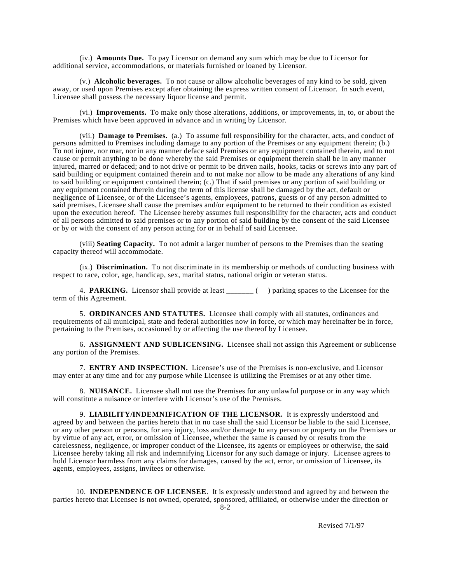(iv.) **Amounts Due.** To pay Licensor on demand any sum which may be due to Licensor for additional service, accommodations, or materials furnished or loaned by Licensor.

(v.) **Alcoholic beverages.** To not cause or allow alcoholic beverages of any kind to be sold, given away, or used upon Premises except after obtaining the express written consent of Licensor. In such event, Licensee shall possess the necessary liquor license and permit.

(vi.) **Improvements.** To make only those alterations, additions, or improvements, in, to, or about the Premises which have been approved in advance and in writing by Licensor.

(vii.) **Damage to Premises.** (a.) To assume full responsibility for the character, acts, and conduct of persons admitted to Premises including damage to any portion of the Premises or any equipment therein; (b.) To not injure, nor mar, nor in any manner deface said Premises or any equipment contained therein, and to not cause or permit anything to be done whereby the said Premises or equipment therein shall be in any manner injured, marred or defaced; and to not drive or permit to be driven nails, hooks, tacks or screws into any part of said building or equipment contained therein and to not make nor allow to be made any alterations of any kind to said building or equipment contained therein; (c.) That if said premises or any portion of said building or any equipment contained therein during the term of this license shall be damaged by the act, default or negligence of Licensee, or of the Licensee's agents, employees, patrons, guests or of any person admitted to said premises, Licensee shall cause the premises and/or equipment to be returned to their condition as existed upon the execution hereof. The Licensee hereby assumes full responsibility for the character, acts and conduct of all persons admitted to said premises or to any portion of said building by the consent of the said Licensee or by or with the consent of any person acting for or in behalf of said Licensee.

(viii) **Seating Capacity.** To not admit a larger number of persons to the Premises than the seating capacity thereof will accommodate.

(ix.) **Discrimination.** To not discriminate in its membership or methods of conducting business with respect to race, color, age, handicap, sex, marital status, national origin or veteran status.

4. **PARKING.** Licensor shall provide at least \_\_\_\_\_\_\_ () parking spaces to the Licensee for the term of this Agreement.

5. **ORDINANCES AND STATUTES.** Licensee shall comply with all statutes, ordinances and requirements of all municipal, state and federal authorities now in force, or which may hereinafter be in force, pertaining to the Premises, occasioned by or affecting the use thereof by Licensee.

6. **ASSIGNMENT AND SUBLICENSING.** Licensee shall not assign this Agreement or sublicense any portion of the Premises.

7. **ENTRY AND INSPECTION.** Licensee's use of the Premises is non-exclusive, and Licensor may enter at any time and for any purpose while Licensee is utilizing the Premises or at any other time.

8. **NUISANCE.** Licensee shall not use the Premises for any unlawful purpose or in any way which will constitute a nuisance or interfere with Licensor's use of the Premises.

9. **LIABILITY/INDEMNIFICATION OF THE LICENSOR.** It is expressly understood and agreed by and between the parties hereto that in no case shall the said Licensor be liable to the said Licensee, or any other person or persons, for any injury, loss and/or damage to any person or property on the Premises or by virtue of any act, error, or omission of Licensee, whether the same is caused by or results from the carelessness, negligence, or improper conduct of the Licensee, its agents or employees or otherwise, the said Licensee hereby taking all risk and indemnifying Licensor for any such damage or injury. Licensee agrees to hold Licensor harmless from any claims for damages, caused by the act, error, or omission of Licensee, its agents, employees, assigns, invitees or otherwise.

10. **INDEPENDENCE OF LICENSEE**. It is expressly understood and agreed by and between the parties hereto that Licensee is not owned, operated, sponsored, affiliated, or otherwise under the direction or 8-2

Revised 7/1/97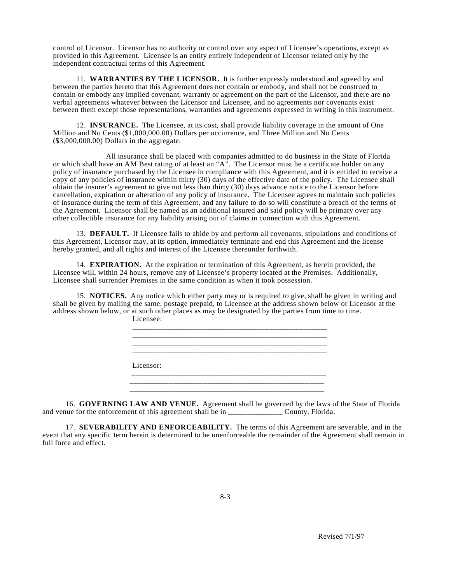control of Licensor. Licensor has no authority or control over any aspect of Licensee's operations, except as provided in this Agreement. Licensee is an entity entirely independent of Licensor related only by the independent contractual terms of this Agreement.

11. **WARRANTIES BY THE LICENSOR.** It is further expressly understood and agreed by and between the parties hereto that this Agreement does not contain or embody, and shall not be construed to contain or embody any implied covenant, warranty or agreement on the part of the Licensor, and there are no verbal agreements whatever between the Licensor and Licensee, and no agreements nor covenants exist between them except those representations, warranties and agreements expressed in writing in this instrument.

12. **INSURANCE.** The Licensee, at its cost, shall provide liability coverage in the amount of One Million and No Cents (\$1,000,000.00) Dollars per occurrence, and Three Million and No Cents (\$3,000,000.00) Dollars in the aggregate.

All insurance shall be placed with companies admitted to do business in the State of Florida or which shall have an AM Best rating of at least an "A". The Licensor must be a certificate holder on any policy of insurance purchased by the Licensee in compliance with this Agreement, and it is entitled to receive a copy of any policies of insurance within thirty (30) days of the effective date of the policy. The Licensee shall obtain the insurer's agreement to give not less than thirty (30) days advance notice to the Licensor before cancellation, expiration or alteration of any policy of insurance. The Licensee agrees to maintain such policies of insurance during the term of this Agreement, and any failure to do so will constitute a breach of the terms of the Agreement. Licensor shall be named as an additional insured and said policy will be primary over any other collectible insurance for any liability arising out of claims in connection with this Agreement.

13. **DEFAULT.** If Licensee fails to abide by and perform all covenants, stipulations and conditions of this Agreement, Licensor may, at its option, immediately terminate and end this Agreement and the license hereby granted, and all rights and interest of the Licensee thereunder forthwith.

14. **EXPIRATION.** At the expiration or termination of this Agreement, as herein provided, the Licensee will, within 24 hours, remove any of Licensee's property located at the Premises. Additionally, Licensee shall surrender Premises in the same condition as when it took possession.

15. **NOTICES.** Any notice which either party may or is required to give, shall be given in writing and shall be given by mailing the same, postage prepaid, to Licensee at the address shown below or Licensor at the address shown below, or at such other places as may be designated by the parties from time to time. Licensee:



16. **GOVERNING LAW AND VENUE.** Agreement shall be governed by the laws of the State of Florida and venue for the enforcement of this agreement shall be in \_\_\_\_\_\_\_\_\_\_\_\_\_\_ County, Florida.

17. **SEVERABILITY AND ENFORCEABILITY.** The terms of this Agreement are severable, and in the event that any specific term herein is determined to be unenforceable the remainder of the Agreement shall remain in full force and effect.